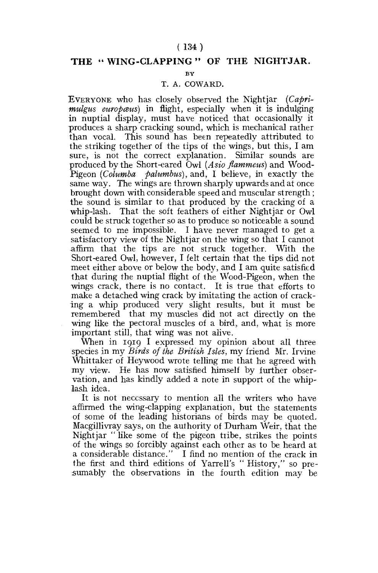### **( 134)**

# THE "WING-CLAPPING" OF THE NIGHTJAR.

**BY** 

#### T. A. COWARD.

EVERYONE who has closely observed the Nightjar *(Caprimulgus europœus*) in flight, especially when it is indulging in nuptial display, must have noticed that occasionally it produces a sharp cracking sound, which is mechanical rather than vocal. This sound has been repeatedly attributed to the striking together of the tips of the wings, but this, I am sure, is not the correct explanation. Similar sounds are produced by the Short-eared Owl *(Asio flammeus)* and Wood-Pigeon *(Columba palumbus),* and, I believe, in exactly the same way. The wings are thrown sharply upwards and at once brought down with considerable speed and muscular strength; the sound is similar to that produced by the cracking of a whip-lash. That the soft feathers of either Nightjar or Owl could be struck together so as to produce so noticeable a sound seemed to me impossible. I have never managed to get a satisfactory view of the Nightjar on the wing so that I cannot affirm that the tips are not struck together. With the Short-eared Owl, however, I felt certain that the tips did not meet either above or below the body, and I am quite satisfied that during the nuptial flight of the Wood-Pigeon, when the wings crack, there is no contact. It is true that efforts to make a detached wing crack by imitating the action of cracking a whip produced very slight results, but it must be remembered that my muscles did not act directly on the wing like the pectoral muscles of a bird, and, what is more important still, that wing was not alive.

When in 1919 I expressed my opinion about all three species in my *Birds of the British Isles,* my friend Mr. Irvine Whittaker of Heywood wrote telling me that he agreed with my view. He has now satisfied himself by further observation, and has kindly added a note in support of the whiplash idea.

It is not necessary to mention all the writers who have affirmed the wing-clapping explanation, but the statements of some of the leading historians of birds may be quoted, Macgillivray says, on the authority of Durham Weir, that the Nightjar " like some of the pigeon tiibe, strikes the points of the wings so forcibly against each other as to be heard at a considerable distance." I find no mention of the crack in the first and third editions of Yarrell's " History," so presumably the observations in the fourth edition may be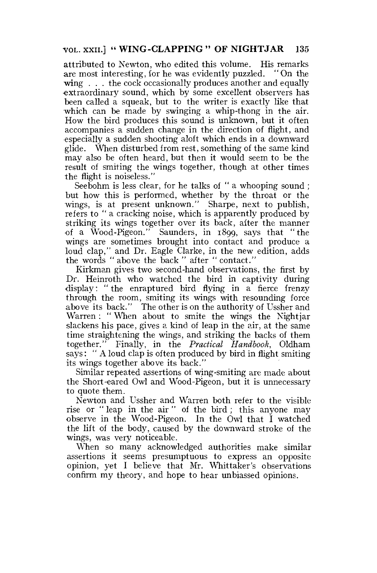# **VOL. XXII.] " WING-CLAPPING " OF NIGHTJAR** 135

attributed to Newton, who edited this volume. His remarks are most interesting, for he was evidently puzzled. "On the wing . . . the cock occasionally produces another and equally •extraordinary sound, which by some excellent observers has been called a squeak, but to the writer is exactly like that which can be made by swinging a whip-thong in the air. How the bird produces this sound is unknown, but it often accompanies a sudden change in the direction of flight, and especially a sudden shooting aloft which ends in a downward glide. When disturbed from rest, something of the same kind may also be often heard, but then it would seem to be the result of smiting the wings together, though at other times the flight is noiseless."

Seebohm is less clear, for he talks of " a whooping sound ; but how this is performed, whether by the throat or the wings, is at present unknown." Sharpe, next to publish, refers to " a cracking noise, which is apparently produced by striking its wings together over its back, after the manner of a Wood-Pigeon." Saunders, in 1899, says that "the wings are sometimes brought into contact and produce a loud clap," and Dr. Eagle Clarke, in the new edition, adds the words " above the back " after " contact."

Kirkman gives two second-hand observations, the first by Dr. Heinroth who watched the bird in captivity during display: " the enraptured bird flying in a fierce frenzy through the room, smiting its wings with resounding force above its back." The other is on the authority of Ussher and Warren : " When about to smite the wings the Nightjar slackens his pace, gives a kind of leap in the air, at the same time straightening the wings, and striking the backs of them together." Finally, in the *Practical Handbook,* Oldham says: "A loud clap is often produced by bird in flight smiting its wings together above its back."

Similar repeated assertions of wing-smiting are made about the Short-eared Owl and Wood-Pigeon, but it is unnecessary to quote them.

Newton and Ussher and Warren both refer to the visible rise or " leap in the air " of the bird ; this anyone may observe in the Wood-Pigeon. In the Owl that I watched the lift of the body, caused by the downward stroke of the wings, was very noticeable.

When so many acknowledged authorities make similar assertions it seems presumptuous to express an opposite opinion, yet I believe that Mr. Whittaker's observations confirm my theory, and hope to hear unbiassed opinions.